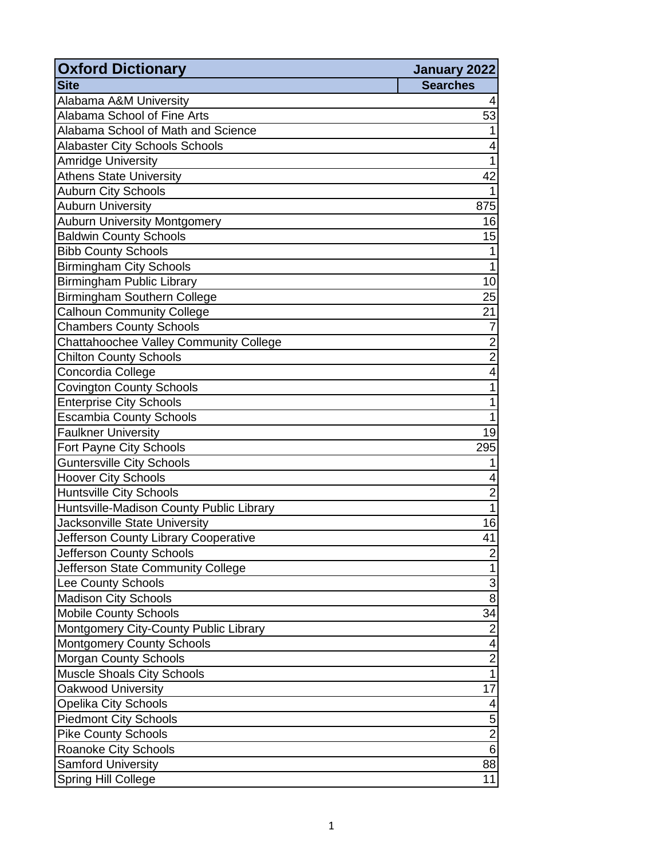| <b>Oxford Dictionary</b>                 | January 2022             |
|------------------------------------------|--------------------------|
| <b>Site</b>                              | <b>Searches</b>          |
| Alabama A&M University                   | 4                        |
| Alabama School of Fine Arts              | 53                       |
| Alabama School of Math and Science       |                          |
| <b>Alabaster City Schools Schools</b>    | 4                        |
| <b>Amridge University</b>                | $\mathbf{1}$             |
| <b>Athens State University</b>           | 42                       |
| <b>Auburn City Schools</b>               | 1                        |
| <b>Auburn University</b>                 | 875                      |
| <b>Auburn University Montgomery</b>      | 16                       |
| <b>Baldwin County Schools</b>            | 15                       |
| <b>Bibb County Schools</b>               | 1                        |
| <b>Birmingham City Schools</b>           | $\mathbf{1}$             |
| <b>Birmingham Public Library</b>         | 10                       |
| Birmingham Southern College              | 25                       |
| <b>Calhoun Community College</b>         | 21                       |
| <b>Chambers County Schools</b>           | $\overline{7}$           |
| Chattahoochee Valley Community College   | $\overline{2}$           |
| <b>Chilton County Schools</b>            | $\overline{\mathbf{c}}$  |
| Concordia College                        | $\overline{\mathcal{A}}$ |
| <b>Covington County Schools</b>          | $\mathbf 1$              |
| <b>Enterprise City Schools</b>           | 1                        |
| <b>Escambia County Schools</b>           | 1                        |
| <b>Faulkner University</b>               | 19                       |
| Fort Payne City Schools                  | 295                      |
| Guntersville City Schools                | 1                        |
| <b>Hoover City Schools</b>               | 4                        |
| <b>Huntsville City Schools</b>           | $\overline{\mathbf{c}}$  |
| Huntsville-Madison County Public Library | $\mathbf{1}$             |
| Jacksonville State University            | 16                       |
| Jefferson County Library Cooperative     | 41                       |
| Jefferson County Schools                 | 2                        |
| Jefferson State Community College        | 1                        |
| Lee County Schools                       | 3                        |
| <b>Madison City Schools</b>              | 8                        |
| <b>Mobile County Schools</b>             | 34                       |
| Montgomery City-County Public Library    | $\overline{2}$           |
| <b>Montgomery County Schools</b>         | 4                        |
| <b>Morgan County Schools</b>             | $\overline{c}$           |
| <b>Muscle Shoals City Schools</b>        | $\mathbf{1}$             |
| Oakwood University                       | 17                       |
| Opelika City Schools                     | 4                        |
| <b>Piedmont City Schools</b>             | 5                        |
| <b>Pike County Schools</b>               | $\mathbf 2$              |
| <b>Roanoke City Schools</b>              | 6                        |
| <b>Samford University</b>                | 88                       |
| <b>Spring Hill College</b>               | 11                       |